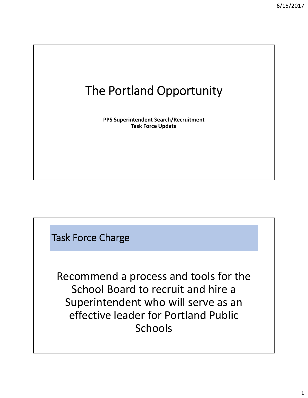## The Portland Opportunity

**PPS Superintendent Search/Recruitment Task Force Update**

Task Force Charge

Recommend a process and tools for the School Board to recruit and hire a Superintendent who will serve as an effective leader for Portland Public Schools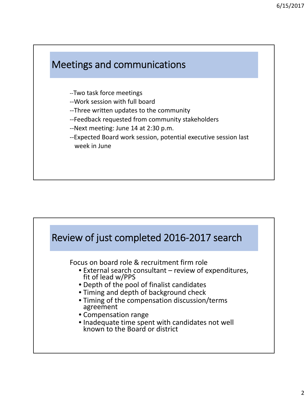

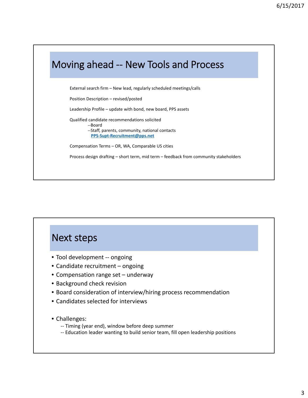

## Next steps

- Tool development -- ongoing
- Candidate recruitment ongoing
- Compensation range set underway
- Background check revision
- Board consideration of interview/hiring process recommendation
- Candidates selected for interviews
- Challenges:
	- ‐‐ Timing (year end), window before deep summer
	- ‐‐ Education leader wanting to build senior team, fill open leadership positions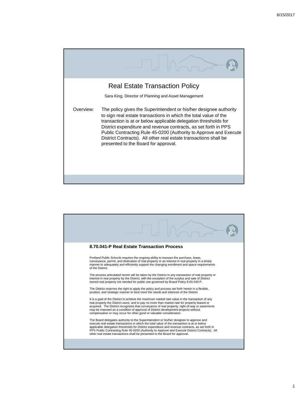

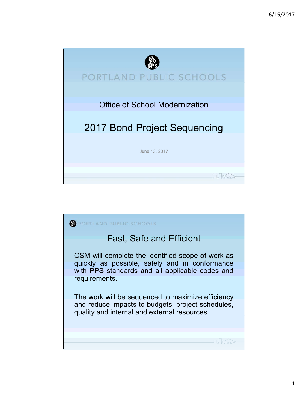

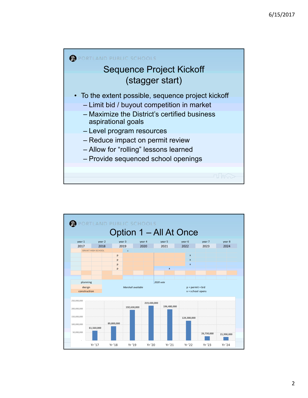

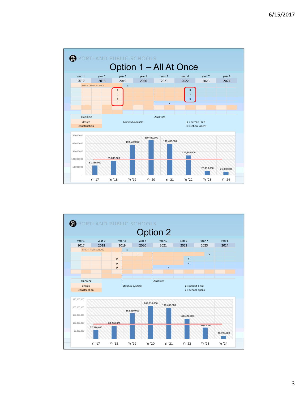

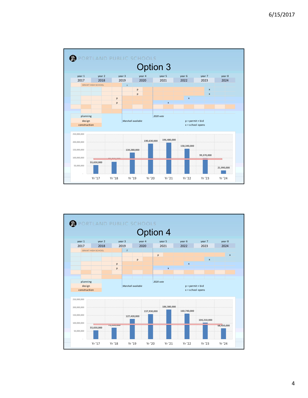

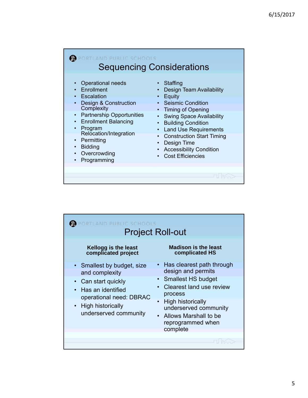| <b>LAND PUBLIC SCHOOLS</b>                                                                                                                                                                                                                                                                                                                                                            | <b>Sequencing Considerations</b>                                                                                                                                                                                                                                                                                                                               |
|---------------------------------------------------------------------------------------------------------------------------------------------------------------------------------------------------------------------------------------------------------------------------------------------------------------------------------------------------------------------------------------|----------------------------------------------------------------------------------------------------------------------------------------------------------------------------------------------------------------------------------------------------------------------------------------------------------------------------------------------------------------|
| <b>Operational needs</b><br>$\bullet$<br>Enrollment<br>$\bullet$<br>Escalation<br><b>Design &amp; Construction</b><br>Complexity<br><b>Partnership Opportunities</b><br>$\bullet$<br><b>Enrollment Balancing</b><br>$\bullet$<br>Program<br>$\bullet$<br>Relocation/Integration<br>Permitting<br>$\bullet$<br><b>Bidding</b><br>$\bullet$<br>Overcrowding<br>$\bullet$<br>Programming | Staffing<br>Design Team Availability<br>Equity<br>• Seismic Condition<br><b>Timing of Opening</b><br>۰<br><b>Swing Space Availability</b><br><b>Building Condition</b><br><b>Land Use Requirements</b><br>$\bullet$<br><b>Construction Start Timing</b><br>$\bullet$<br>Design Time<br>$\bullet$<br><b>Accessibility Condition</b><br><b>Cost Efficiencies</b> |
|                                                                                                                                                                                                                                                                                                                                                                                       |                                                                                                                                                                                                                                                                                                                                                                |

| AND PUBLIC SCHOOLS                                                                                                                                                               | <b>Project Roll-out</b>                                                                                                                                                                                                           |
|----------------------------------------------------------------------------------------------------------------------------------------------------------------------------------|-----------------------------------------------------------------------------------------------------------------------------------------------------------------------------------------------------------------------------------|
| Kellogg is the least<br>complicated project                                                                                                                                      | <b>Madison is the least</b><br>complicated HS                                                                                                                                                                                     |
| • Smallest by budget, size<br>and complexity<br>• Can start quickly<br>Has an identified<br>$\bullet$<br>operational need: DBRAC<br>• High historically<br>underserved community | • Has clearest path through<br>design and permits<br>• Smallest HS budget<br>Clearest land use review<br>process<br><b>High historically</b><br>underserved community<br>• Allows Marshall to be<br>reprogrammed when<br>complete |
|                                                                                                                                                                                  |                                                                                                                                                                                                                                   |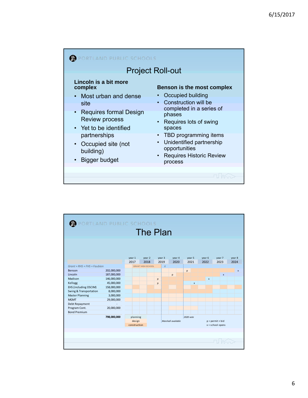| DRTLAND PUBLIC SCHOOLS                                                                                                                                                                                                    |                                                                                                                                                                                                                                                                                                 |
|---------------------------------------------------------------------------------------------------------------------------------------------------------------------------------------------------------------------------|-------------------------------------------------------------------------------------------------------------------------------------------------------------------------------------------------------------------------------------------------------------------------------------------------|
|                                                                                                                                                                                                                           | <b>Project Roll-out</b>                                                                                                                                                                                                                                                                         |
| Lincoln is a bit more<br>complex<br>• Most urban and dense<br>site<br>• Requires formal Design<br><b>Review process</b><br>• Yet to be identified<br>partnerships<br>• Occupied site (not<br>building)<br>• Bigger budget | <b>Benson is the most complex</b><br>Occupied building<br>• Construction will be<br>completed in a series of<br>phases<br>• Requires lots of swing<br>spaces<br>• TBD programming items<br>Unidentified partnership<br>$\bullet$<br>opportunities<br><b>Requires Historic Review</b><br>process |
|                                                                                                                                                                                                                           |                                                                                                                                                                                                                                                                                                 |

| PORTLAND PUBLIC SCHOOLS     |             |              |                          |   |        |                    |        |           |              |              |                    |              |              |
|-----------------------------|-------------|--------------|--------------------------|---|--------|--------------------|--------|-----------|--------------|--------------|--------------------|--------------|--------------|
|                             |             |              | <b>The Plan</b>          |   |        |                    |        |           |              |              |                    |              |              |
|                             |             |              |                          |   |        |                    |        |           |              |              |                    |              |              |
|                             |             |              |                          |   |        |                    |        |           |              |              |                    |              |              |
|                             |             | year 1       | year 2                   |   | year 3 |                    | year 4 |           | year 5       | year 6       |                    | year 7       | year 8       |
|                             |             | 2017         | 2018                     |   | 2019   |                    | 2020   |           | 2021         | 2022         |                    | 2023         | 2024         |
| Grant + RHS + FHS + Faubion |             |              | <b>GRANT HIGH SCHOOL</b> |   | $\chi$ |                    |        |           |              |              |                    |              |              |
| Benson                      | 202,000,000 |              |                          |   |        |                    |        | p         |              |              |                    |              | $\mathbf{x}$ |
| Lincoln                     | 187,000,000 |              |                          |   |        | p                  |        |           |              |              |                    | $\mathbf{x}$ |              |
| Madison                     | 146,000,000 |              |                          | p |        |                    |        |           |              | $\mathbf{x}$ |                    |              |              |
| Kellogg                     | 45,000,000  |              |                          | p |        |                    |        |           | $\mathbf{x}$ |              |                    |              |              |
| EHS (including OSCIM)       | 158,000,000 |              |                          |   |        |                    |        |           |              |              |                    |              |              |
| Swing & Transportation      | 8,000,000   |              |                          |   |        |                    |        |           |              |              |                    |              |              |
| <b>Master Planning</b>      | 3,000,000   |              |                          |   |        |                    |        |           |              |              |                    |              |              |
| <b>MGMT</b>                 | 29,000,000  |              |                          |   |        |                    |        |           |              |              |                    |              |              |
| Debt Repayment              |             |              |                          |   |        |                    |        |           |              |              |                    |              |              |
| Program Cont.               | 20,000,000  |              |                          |   |        |                    |        |           |              |              |                    |              |              |
| <b>Bond Premium</b>         |             |              |                          |   |        |                    |        |           |              |              |                    |              |              |
|                             | 798,000,000 | planning     |                          |   |        |                    |        | 2020 vote |              |              |                    |              |              |
|                             |             | design       |                          |   |        | Marshall available |        |           |              |              | $p = permit + bid$ |              |              |
|                             |             | construction |                          |   |        |                    |        |           |              |              | $x =$ school opens |              |              |
|                             |             |              |                          |   |        |                    |        |           |              |              |                    |              |              |
|                             |             |              |                          |   |        |                    |        |           |              |              |                    |              |              |
|                             |             |              |                          |   |        |                    |        |           |              |              |                    |              |              |
|                             |             |              |                          |   |        |                    |        |           |              |              |                    |              |              |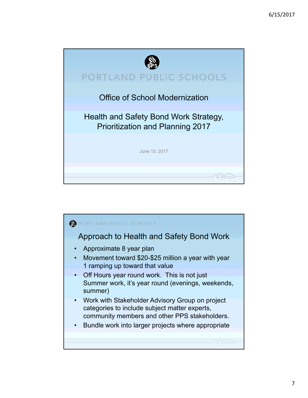

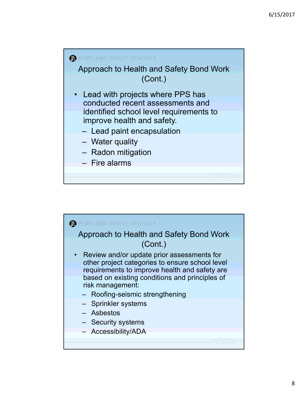

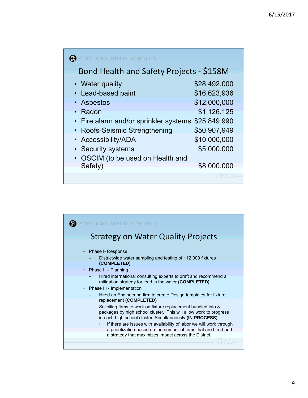| <b>TLAND PUBLIC SCHOOLS</b>                      |              |  |  |  |  |  |  |
|--------------------------------------------------|--------------|--|--|--|--|--|--|
| Bond Health and Safety Projects - \$158M         |              |  |  |  |  |  |  |
| • Water quality                                  | \$28,492,000 |  |  |  |  |  |  |
| Lead-based paint<br>$\bullet$                    | \$16,623,936 |  |  |  |  |  |  |
| • Asbestos                                       | \$12,000,000 |  |  |  |  |  |  |
| Radon                                            | \$1,126,125  |  |  |  |  |  |  |
| Fire alarm and/or sprinkler systems<br>$\bullet$ | \$25,849,990 |  |  |  |  |  |  |
| Roofs-Seismic Strengthening                      | \$50,907,949 |  |  |  |  |  |  |
| Accessibility/ADA                                | \$10,000,000 |  |  |  |  |  |  |
| • Security systems                               | \$5,000,000  |  |  |  |  |  |  |
| OSCIM (to be used on Health and                  |              |  |  |  |  |  |  |
| Safety)                                          | \$8,000,000  |  |  |  |  |  |  |
|                                                  |              |  |  |  |  |  |  |

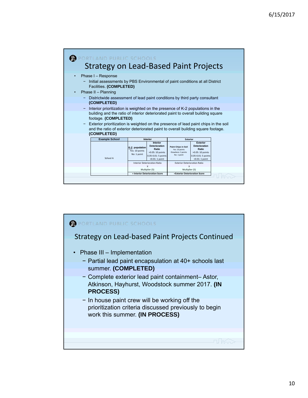| AND PUBLIC SCHOOLS                                                                                                                                                                                                                                             |                                                                                                                                                                     |                                                                                    |                                                                                                                |  |
|----------------------------------------------------------------------------------------------------------------------------------------------------------------------------------------------------------------------------------------------------------------|---------------------------------------------------------------------------------------------------------------------------------------------------------------------|------------------------------------------------------------------------------------|----------------------------------------------------------------------------------------------------------------|--|
| <b>Strategy on Lead-Based Paint Projects</b>                                                                                                                                                                                                                   |                                                                                                                                                                     |                                                                                    |                                                                                                                |  |
| Phase I - Response<br>$\bullet$<br>- Initial assessments by PBS Environmental of paint conditions at all District<br>Facilities. (COMPLETED)<br>Phase II - Planning<br>$\bullet$<br>Districtwide assessment of lead paint conditions by third party consultant |                                                                                                                                                                     |                                                                                    |                                                                                                                |  |
| (COMPLETED)<br>Interior prioritization is weighted on the presence of K-2 populations in the<br>-<br>footage. (COMPLETED)                                                                                                                                      | building and the ratio of interior deteriorated paint to overall building square                                                                                    |                                                                                    |                                                                                                                |  |
| Exterior prioritization is weighted on the presence of lead paint chips in the soil<br>-<br>and the ratio of exterior deteriorated paint to overall building square footage.<br>(COMPLETED)                                                                    |                                                                                                                                                                     |                                                                                    |                                                                                                                |  |
| <b>Example School</b>                                                                                                                                                                                                                                          | <b>Interior</b>                                                                                                                                                     | <b>Exterior</b>                                                                    |                                                                                                                |  |
| School A                                                                                                                                                                                                                                                       | <b>Interior</b><br><b>Deterioration</b><br>K-2 population<br>Ratio<br>Yes: 10 points<br>>0.05: 10 points<br>No: 1 point<br>0.05-0.01: 5 points<br>$< 0.01: 1$ point | <b>Paint Chips in Soil</b><br>Yes: 10 points<br>Elsewhere: 5 points<br>No: 1 point | <b>Exterior</b><br><b>Deterioration</b><br>Ratio<br>>0.05: 10 points<br>0.05-0.01: 5 points<br>$<0.01:1$ point |  |
|                                                                                                                                                                                                                                                                | <b>Interior Deterioration Ratio</b>                                                                                                                                 | <b>Exterior Deterioration Ratio</b>                                                |                                                                                                                |  |
|                                                                                                                                                                                                                                                                | $\boldsymbol{\mathsf{x}}$<br>Multiplier (5)                                                                                                                         | X<br>Multiplier (5)                                                                |                                                                                                                |  |
|                                                                                                                                                                                                                                                                | = Interior Deterioration Score                                                                                                                                      | =Exterior Deterioration Score                                                      |                                                                                                                |  |

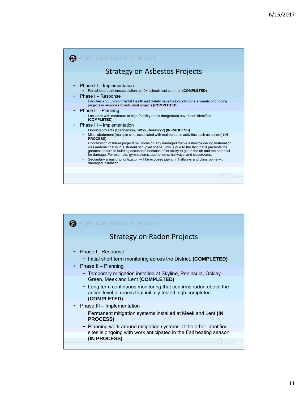| RTLAND PUBLIC SCHOOLS                                                                                                                                                                                                                                                                                                                                                                                                                                                                                 |
|-------------------------------------------------------------------------------------------------------------------------------------------------------------------------------------------------------------------------------------------------------------------------------------------------------------------------------------------------------------------------------------------------------------------------------------------------------------------------------------------------------|
| <b>Strategy on Asbestos Projects</b>                                                                                                                                                                                                                                                                                                                                                                                                                                                                  |
| Phase III - Implementation<br>Partial lead paint encapsulation at 40+ schools last summer. (COMPLETED)                                                                                                                                                                                                                                                                                                                                                                                                |
| Phase I - Response<br>Facilities and Environmental Health and Safety have historically done a variety of ongoing<br>projects in response to individual projects (COMPLETED)                                                                                                                                                                                                                                                                                                                           |
| Phase II - Planning<br>Locations with moderate to high friability (most dangerous) have been identified.<br>(COMPLETED)<br>Phase III - Implementation                                                                                                                                                                                                                                                                                                                                                 |
| Flooring projects (Stephenson, Sitton, Beaumont) (IN PROCESS)<br>Misc. abatement (multiple sites associated with maintenance activities such as boilers) (IN                                                                                                                                                                                                                                                                                                                                          |
| <b>PROCESS)</b><br>Prioritization of future projects will focus on any damaged friable asbestos ceiling material or<br>wall material that is in a student occupied space. This is due to the fact that it presents the<br>greatest hazard to building occupants because of its ability to get in the air and the potential<br>for damage. For example: gymnasiums, auditoriums, hallways, and classrooms.<br>Secondary areas of prioritization will be exposed piping in hallways and classrooms with |
| damaged insulation.                                                                                                                                                                                                                                                                                                                                                                                                                                                                                   |
|                                                                                                                                                                                                                                                                                                                                                                                                                                                                                                       |

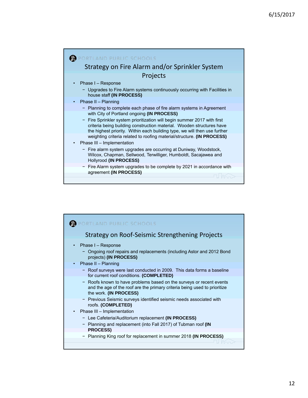

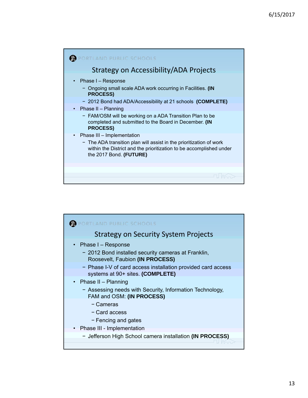